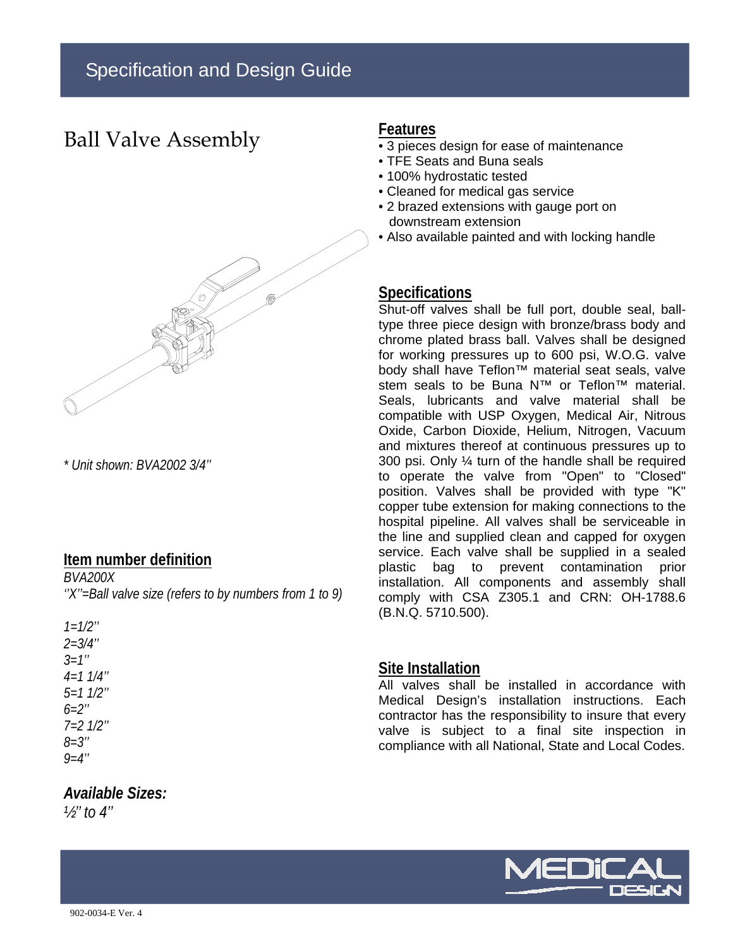## Ball Valve Assembly



*\* Unit shown: BVA2002 3/4''* 

#### **Item number definition**

*BVA200X ''X''=Ball valve size (refers to by numbers from 1 to 9)*

| $1 = 1/2$ "   |
|---------------|
| $2 = 3/4$ "   |
| $3 = 1''$     |
| $4=1$ $1/4$ " |
| $5=1$ $1/2$ " |
| $6 = 2$ "     |
| $7=2$ $1/2$ " |
| $8 = 3"$      |
| $9 = 4$ "     |

## *Available Sizes:*

*½'' to 4''* 

### **Features**

- 3 pieces design for ease of maintenance
- TFE Seats and Buna seals
- 100% hydrostatic tested
- Cleaned for medical gas service
- 2 brazed extensions with gauge port on downstream extension
- Also available painted and with locking handle

### **Specifications**

Shut-off valves shall be full port, double seal, balltype three piece design with bronze/brass body and chrome plated brass ball. Valves shall be designed for working pressures up to 600 psi, W.O.G. valve body shall have Teflon™ material seat seals, valve stem seals to be Buna N™ or Teflon<sup>™</sup> material. Seals, lubricants and valve material shall be compatible with USP Oxygen, Medical Air, Nitrous Oxide, Carbon Dioxide, Helium, Nitrogen, Vacuum and mixtures thereof at continuous pressures up to 300 psi. Only ¼ turn of the handle shall be required to operate the valve from "Open" to "Closed" position. Valves shall be provided with type "K" copper tube extension for making connections to the hospital pipeline. All valves shall be serviceable in the line and supplied clean and capped for oxygen service. Each valve shall be supplied in a sealed plastic bag to prevent contamination prior installation. All components and assembly shall comply with CSA Z305.1 and CRN: OH-1788.6 (B.N.Q. 5710.500).

#### **Site Installation**

All valves shall be installed in accordance with Medical Design's installation instructions. Each contractor has the responsibility to insure that every valve is subject to a final site inspection in compliance with all National, State and Local Codes.